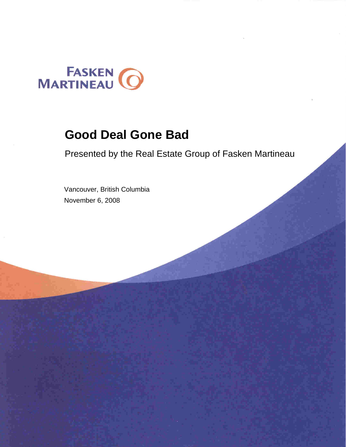

### **Good Deal Gone Bad**

Presented by the [Real Estate Group of Fasken Martineau](http://www.fasken.com/real-estate-practice-areas/) 

 Vancouver, British Columbia November 6, 2008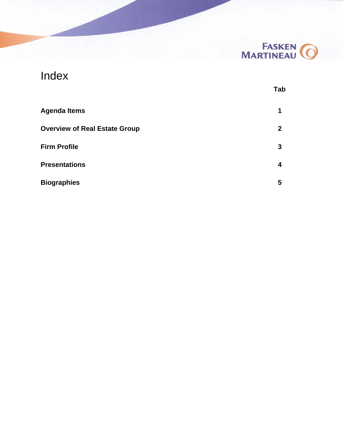

 $\bar{\phantom{a}}$ 

### Index

|                                      | <b>Tab</b>   |
|--------------------------------------|--------------|
| <b>Agenda Items</b>                  | 1            |
| <b>Overview of Real Estate Group</b> | $\mathbf{2}$ |
| <b>Firm Profile</b>                  | 3            |
| <b>Presentations</b>                 | 4            |
| <b>Biographies</b>                   | 5            |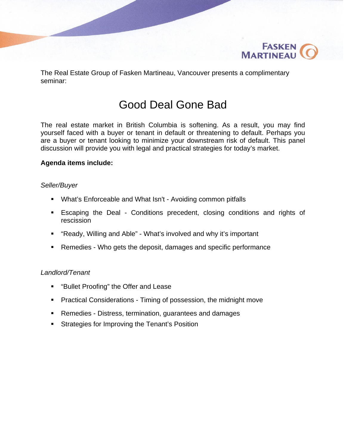

The Real Estate Group of Fasken Martineau, Vancouver presents a complimentary seminar:

### Good Deal Gone Bad

The real estate market in British Columbia is softening. As a result, you may find yourself faced with a buyer or tenant in default or threatening to default. Perhaps you are a buyer or tenant looking to minimize your downstream risk of default. This panel discussion will provide you with legal and practical strategies for today's market.

#### **Agenda items include:**

#### *Seller/Buyer*

- What's Enforceable and What Isn't Avoiding common pitfalls
- Escaping the Deal Conditions precedent, closing conditions and rights of rescission
- "Ready, Willing and Able" What's involved and why it's important
- Remedies Who gets the deposit, damages and specific performance

#### *Landlord/Tenant*

- **E** "Bullet Proofing" the Offer and Lease
- **Practical Considerations Timing of possession, the midnight move**
- Remedies Distress, termination, guarantees and damages
- **Strategies for Improving the Tenant's Position**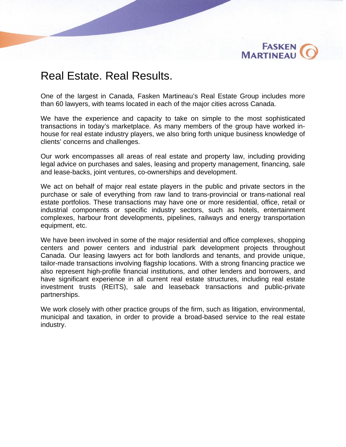

### Real Estate. Real Results.

One of the largest in Canada, Fasken Martineau's Real Estate Group includes more than 60 lawyers, with teams located in each of the major cities across Canada.

We have the experience and capacity to take on simple to the most sophisticated transactions in today's marketplace. As many members of the group have worked inhouse for real estate industry players, we also bring forth unique business knowledge of clients' concerns and challenges.

Our work encompasses all areas of real estate and property law, including providing legal advice on purchases and sales, leasing and property management, financing, sale and lease-backs, joint ventures, co-ownerships and development.

We act on behalf of major real estate players in the public and private sectors in the purchase or sale of everything from raw land to trans-provincial or trans-national real estate portfolios. These transactions may have one or more residential, office, retail or industrial components or specific industry sectors, such as hotels, entertainment complexes, harbour front developments, pipelines, railways and energy transportation equipment, etc.

We have been involved in some of the major residential and office complexes, shopping centers and power centers and industrial park development projects throughout Canada. Our leasing lawyers act for both landlords and tenants, and provide unique, tailor-made transactions involving flagship locations. With a strong financing practice we also represent high-profile financial institutions, and other lenders and borrowers, and have significant experience in all current real estate structures, including real estate investment trusts (REITS), sale and leaseback transactions and public-private partnerships.

We work closely with other practice groups of the firm, such as litigation, environmental, municipal and taxation, in order to provide a broad-based service to the real estate industry.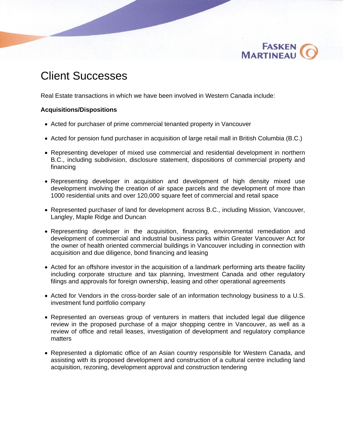

### Client Successes

Real Estate transactions in which we have been involved in Western Canada include:

#### **Acquisitions/Dispositions**

- Acted for purchaser of prime commercial tenanted property in Vancouver
- Acted for pension fund purchaser in acquisition of large retail mall in British Columbia (B.C.)
- Representing developer of mixed use commercial and residential development in northern B.C., including subdivision, disclosure statement, dispositions of commercial property and financing
- Representing developer in acquisition and development of high density mixed use development involving the creation of air space parcels and the development of more than 1000 residential units and over 120,000 square feet of commercial and retail space
- Represented purchaser of land for development across B.C., including Mission, Vancouver, Langley, Maple Ridge and Duncan
- Representing developer in the acquisition, financing, environmental remediation and development of commercial and industrial business parks within Greater Vancouver Act for the owner of health oriented commercial buildings in Vancouver including in connection with acquisition and due diligence, bond financing and leasing
- Acted for an offshore investor in the acquisition of a landmark performing arts theatre facility including corporate structure and tax planning, Investment Canada and other regulatory filings and approvals for foreign ownership, leasing and other operational agreements
- Acted for Vendors in the cross-border sale of an information technology business to a U.S. investment fund portfolio company
- Represented an overseas group of venturers in matters that included legal due diligence review in the proposed purchase of a major shopping centre in Vancouver, as well as a review of office and retail leases, investigation of development and regulatory compliance matters
- Represented a diplomatic office of an Asian country responsible for Western Canada, and assisting with its proposed development and construction of a cultural centre including land acquisition, rezoning, development approval and construction tendering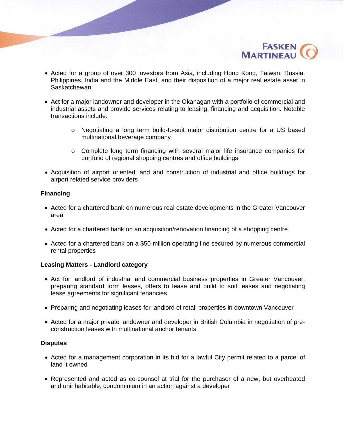

- Acted for a group of over 300 investors from Asia, including Hong Kong, Taiwan, Russia, Philippines, India and the Middle East, and their disposition of a major real estate asset in **Saskatchewan**
- Act for a major landowner and developer in the Okanagan with a portfolio of commercial and industrial assets and provide services relating to leasing, financing and acquisition. Notable transactions include:
	- o Negotiating a long term build-to-suit major distribution centre for a US based multinational beverage company
	- o Complete long term financing with several major life insurance companies for portfolio of regional shopping centres and office buildings
- Acquisition of airport oriented land and construction of industrial and office buildings for airport related service providers

#### **Financing**

- Acted for a chartered bank on numerous real estate developments in the Greater Vancouver area
- Acted for a chartered bank on an acquisition/renovation financing of a shopping centre
- Acted for a chartered bank on a \$50 million operating line secured by numerous commercial rental properties

#### **Leasing Matters - Landlord category**

- Act for landlord of industrial and commercial business properties in Greater Vancouver, preparing standard form leases, offers to lease and build to suit leases and negotiating lease agreements for significant tenancies
- Preparing and negotiating leases for landlord of retail properties in downtown Vancouver
- Acted for a major private landowner and developer in British Columbia in negotiation of preconstruction leases with multinational anchor tenants

#### **Disputes**

- Acted for a management corporation in its bid for a lawful City permit related to a parcel of land it owned
- Represented and acted as co-counsel at trial for the purchaser of a new, but overheated and uninhabitable, condominium in an action against a developer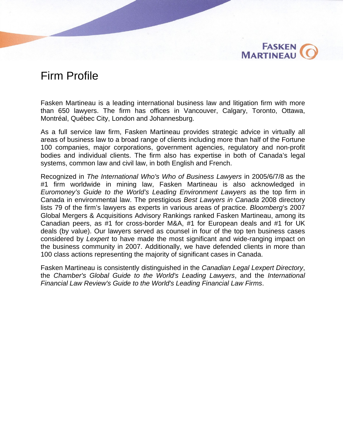

### Firm Profile

Fasken Martineau is a leading international business law and litigation firm with more than 650 lawyers. The firm has offices in Vancouver, Calgary, Toronto, Ottawa, Montréal, Québec City, London and Johannesburg.

As a full service law firm, Fasken Martineau provides strategic advice in virtually all areas of business law to a broad range of clients including more than half of the Fortune 100 companies, major corporations, government agencies, regulatory and non-profit bodies and individual clients. The firm also has expertise in both of Canada's legal systems, common law and civil law, in both English and French.

Recognized in *The International Who's Who of Business Lawyers* in 2005/6/7/8 as the #1 firm worldwide in mining law, Fasken Martineau is also acknowledged in *Euromoney's Guide to the World's Leading Environment Lawyers* as the top firm in Canada in environmental law. The prestigious *Best Lawyers in Canada* 2008 directory lists 79 of the firm's lawyers as experts in various areas of practice. *Bloomberg*'s 2007 Global Mergers & Acquisitions Advisory Rankings ranked Fasken Martineau, among its Canadian peers, as #1 for cross-border M&A, #1 for European deals and #1 for UK deals (by value). Our lawyers served as counsel in four of the top ten business cases considered by *Lexpert* to have made the most significant and wide-ranging impact on the business community in 2007. Additionally, we have defended clients in more than 100 class actions representing the majority of significant cases in Canada.

Fasken Martineau is consistently distinguished in the *Canadian Legal Lexpert Directory*, the *Chamber's Global Guide to the World's Leading Lawyers*, and the *International Financial Law Review's Guide to the World's Leading Financial Law Firms*.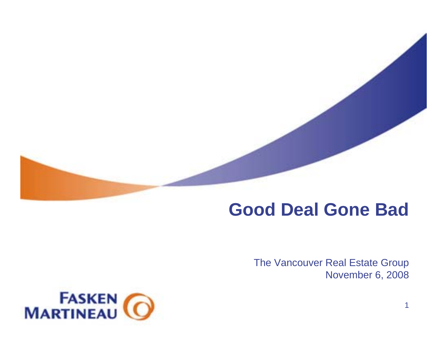# **Good Deal Gone Bad**

The Vancouver Real Estate Group November 6, 2008

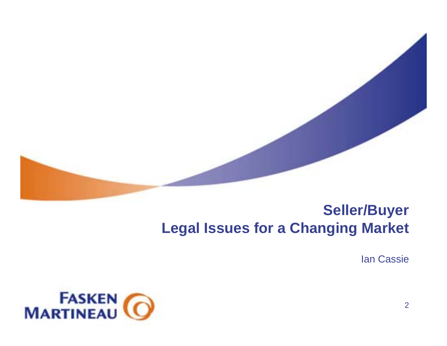

### **Seller/Buyer Legal Issues for a Changing Market**

Ian Cassie

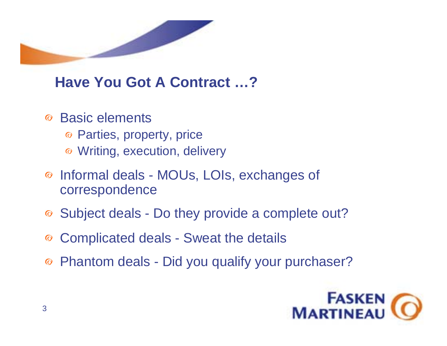

# **Have You Got A Contract …?**

- Basic elements $\odot$ 
	- Parties, property, price
	- Writing, execution, delivery
- Informal deals MOUs, LOIs, exchanges of  $\odot$ correspondence
- Subject deals Do they provide a complete out?
- Complicated deals Sweat the details  $\odot$
- Phantom deals Did you qualify your purchaser?  $\bullet$

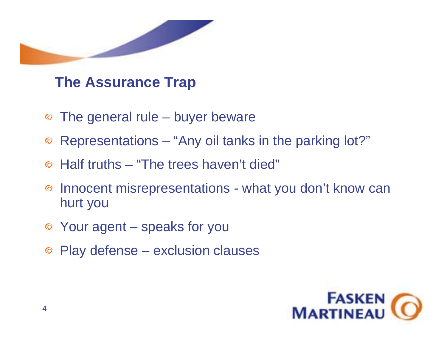

# **The Assurance Trap**

- The general rule buyer beware
- Representations "Any oil tanks in the parking lot?"
- Half truths "The trees haven't died"
- Innocent misrepresentations what you don't know can  $\odot$ hurt you
- Your agent speaks for you
- Play defense exclusion clauses

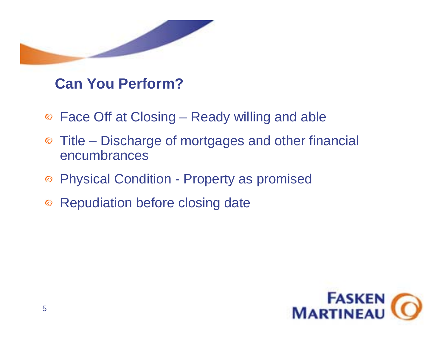

### **Can You Perform?**

- Face Off at Closing Ready willing and able
- Title Discharge of mortgages and other financial encumbrances
- Physical Condition Property as promised
- ◎ Repudiation before closing date

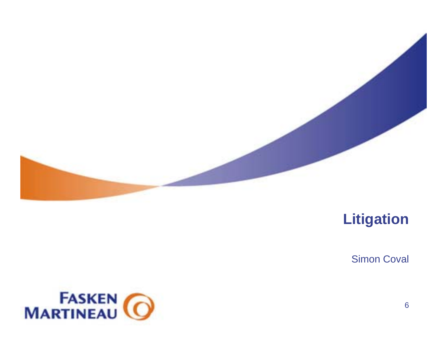

# **Litigation**

Simon Coval

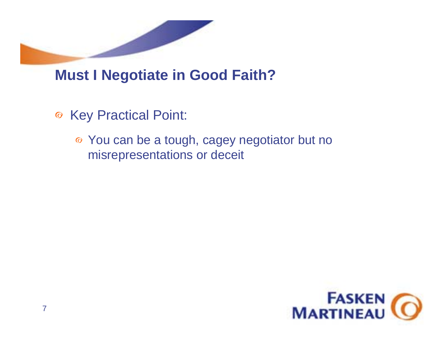

# **Must I Negotiate in Good Faith?**

- Key Practical Point:
	- You can be a tough, cagey negotiator but no misrepresentations or deceit

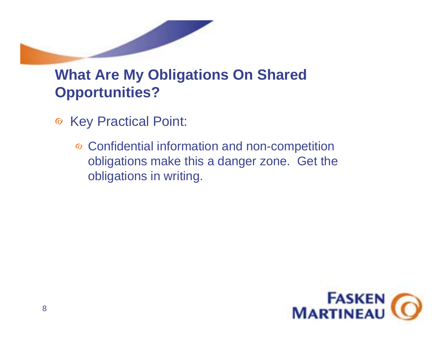

- Key Practical Point:
	- Confidential information and non-competition obligations make this a danger zone. Get the obligations in writing.

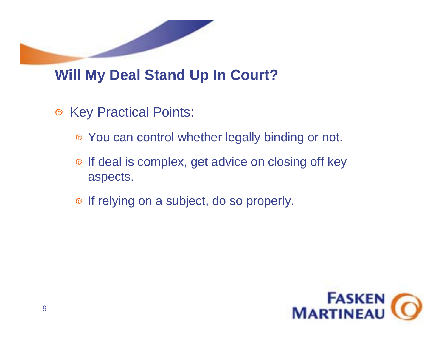# **Will My Deal Stand Up In Court?**

- <sup>⊙</sup> Key Practical Points:
	- You can control whether legally binding or not.
	- ⊙ If deal is complex, get advice on closing off key aspects.
	- $\bullet$  If relying on a subject, do so properly.

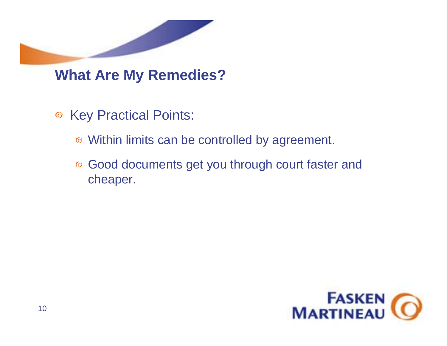

### **What Are My Remedies?**

- Key Practical Points:
	- Within limits can be controlled by agreement.
	- Good documents get you through court faster and cheaper.

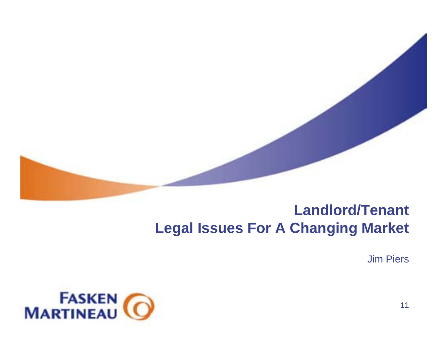

# **Landlord/Tenant Legal Issues For A Changing Market**

Jim Piers

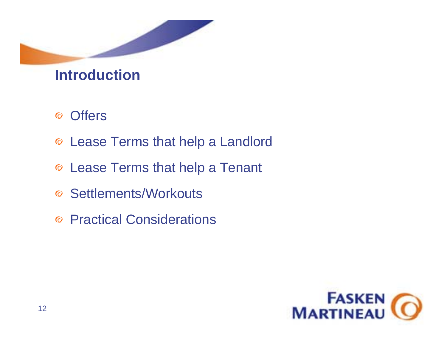

### **Introduction**

- **Offers**  $\odot$
- Lease Terms that help a Landlord
- Lease Terms that help a Tenant
- Settlements/Workouts
- Practical Considerations

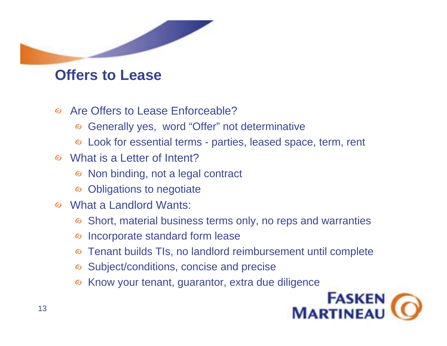### **Offers to Lease**

- Are Offers to Lease Enforceable? $\odot$ 
	- Generally yes, word "Offer" not determinative  $\odot$
	- Look for essential terms parties, leased space, term, rent
- What is a Letter of Intent?
	- Non binding, not a legal contract  $\bullet$
	- Obligations to negotiate  $\bullet$
- What a Landlord Wants:
	- Short, material business terms only, no reps and warranties  $\bm{\odot}$
	- Incorporate standard form lease  $\bm{\odot}$
	- Tenant builds TIs, no landlord reimbursement until complete  $\odot$
	- Subject/conditions, concise and precise
	- Know your tenant, guarantor, extra due diligence $\odot$

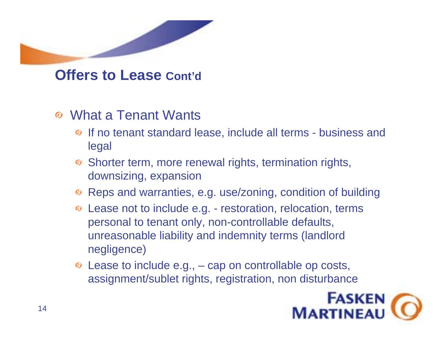

**Offers to Lease Cont'd**

- What a Tenant Wants $\odot$ 
	- If no tenant standard lease, include all terms business and legal
	- <sup>⊙</sup> Shorter term, more renewal rights, termination rights, downsizing, expansion
	- Reps and warranties, e.g. use/zoning, condition of building
	- Lease not to include e.g. restoration, relocation, terms personal to tenant only, non-controllable defaults, unreasonable liability and indemnity terms (landlord negligence)
	- Lease to include e.g., cap on controllable op costs, assignment/sublet rights, registration, non disturbance

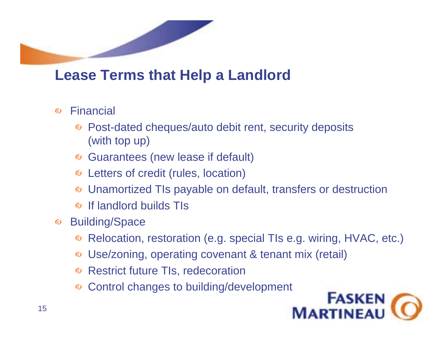# **Lease Terms that Help a Landlord**

- Financial  $\odot$ 
	- Post-dated cheques/auto debit rent, security deposits  $\odot$ (with top up)
	- Guarantees (new lease if default)  $\bullet$
	- Letters of credit (rules, location)
	- Unamortized TIs payable on default, transfers or destruction
	- If landlord builds TIs $\odot$
- Building/Space  $\bullet$ 
	- Relocation, restoration (e.g. special TIs e.g. wiring, HVAC, etc.)  $\bullet$
	- Use/zoning, operating covenant & tenant mix (retail)
	- **◎ Restrict future TIs, redecoration**
	- Control changes to building/development

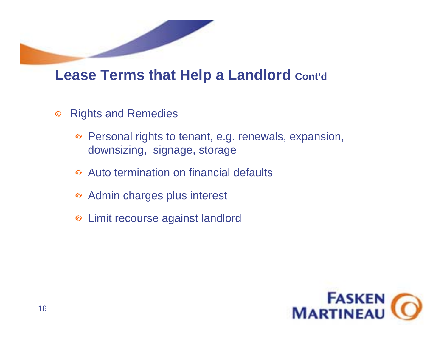

### **Lease Terms that Help a Landlord Cont'd**

- Rights and Remedies  $\odot$ 
	- Personal rights to tenant, e.g. renewals, expansion, downsizing, signage, storage
	- Auto termination on financial defaults
	- Admin charges plus interest
	- Limit recourse against landlord

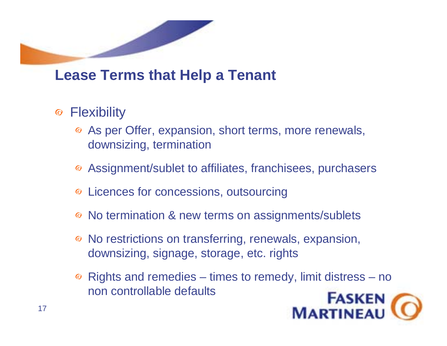# **Lease Terms that Help a Tenant**

- ◎ Flexibility
	- As per Offer, expansion, short terms, more renewals, downsizing, termination
	- Assignment/sublet to affiliates, franchisees, purchasers
	- <sup>o</sup> Licences for concessions, outsourcing
	- **<sup>⊙</sup> No termination & new terms on assignments/sublets**
	- No restrictions on transferring, renewals, expansion, downsizing, signage, storage, etc. rights
	- $\odot$  Rights and remedies times to remedy, limit distress no non controllable defaults

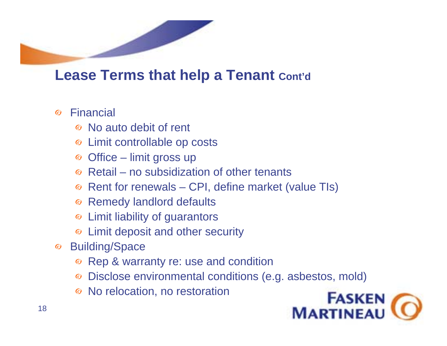# **Lease Terms that help a Tenant Cont'd**

- Financial  $\odot$ 
	- No auto debit of rent
	- Limit controllable op costs
	- $\circ$  Office limit gross up
	- $\odot$  Retail no subsidization of other tenants
	- Rent for renewals CPI, define market (value TIs)
	- Remedy landlord defaults
	- Limit liability of guarantors
	- Limit deposit and other security
- Building/Space  $\bullet$ 
	- **◎ Rep & warranty re: use and condition**
	- Disclose environmental conditions (e.g. asbestos, mold)
	- No relocation, no restoration

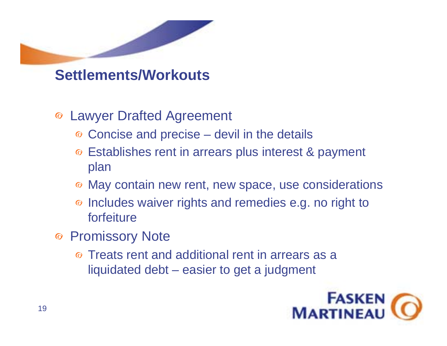

**Settlements/Workouts**

- Lawyer Drafted Agreement
	- Concise and precise devil in the details
	- Establishes rent in arrears plus interest & payment plan
	- $\odot$  May contain new rent, new space, use considerations
	- <sup>o</sup> Includes waiver rights and remedies e.g. no right to forfeiture
- ◎ Promissory Note
	- Treats rent and additional rent in arrears as a liquidated debt – easier to get a judgment

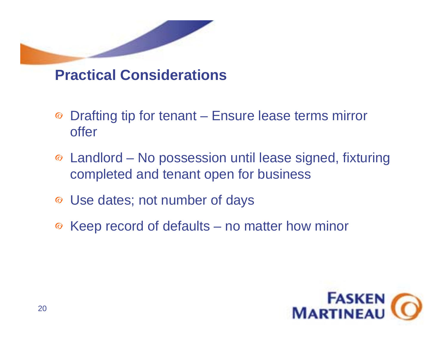

### **Practical Considerations**

- Drafting tip for tenant Ensure lease terms mirror offer
- Landlord No possession until lease signed, fixturing completed and tenant open for business
- Use dates; not number of days
- $\odot$  Keep record of defaults no matter how minor

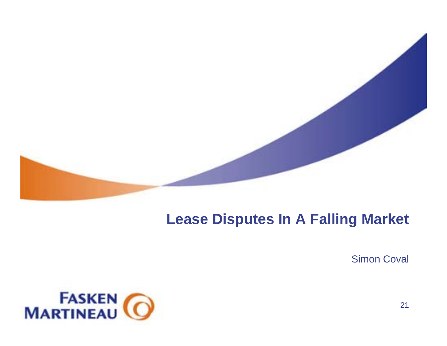

## **Lease Disputes In A Falling Market**

Simon Coval

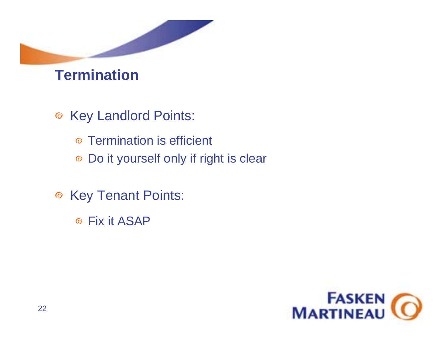

### **Termination**

- Key Landlord Points:  $\odot$ 
	- Termination is efficient
	- Do it yourself only if right is clear
- <sup>⊙</sup> Key Tenant Points:
	- Fix it ASAP

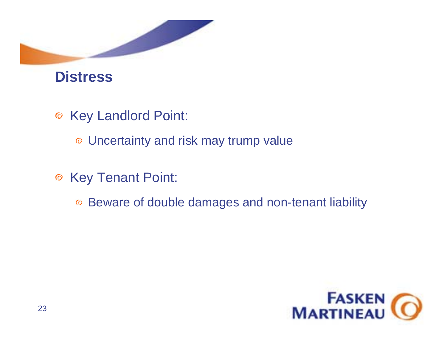

### **Distress**

- Key Landlord Point:
	- Uncertainty and risk may trump value
- <sup>⊙</sup> Key Tenant Point:
	- Beware of double damages and non-tenant liability

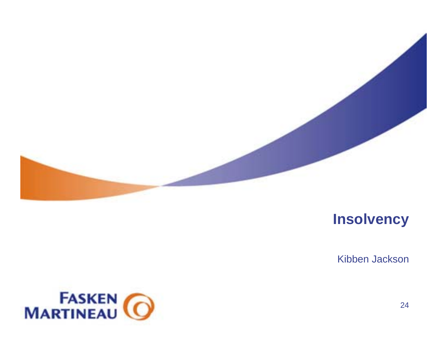

### **Insolvency**

Kibben Jackson



24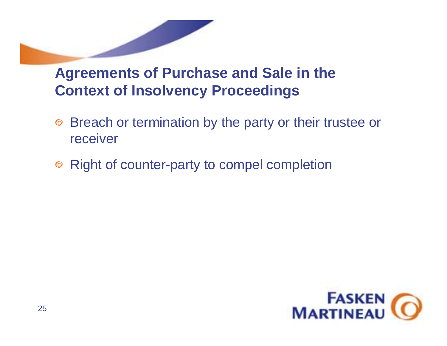# **Agreements of Purchase and Sale in the Context of Insolvency Proceedings**

- Breach or termination by the party or their trustee or receiver
- **■** Right of counter-party to compel completion

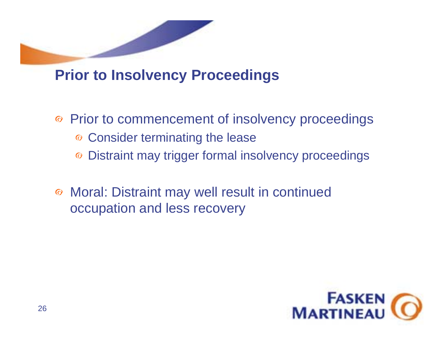

# **Prior to Insolvency Proceedings**

- Prior to commencement of insolvency proceedings
	- Consider terminating the lease
	- Distraint may trigger formal insolvency proceedings
- Moral: Distraint may well result in continued occupation and less recovery

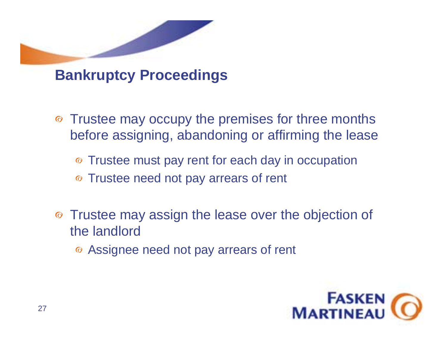

### **Bankruptcy Proceedings**

- Trustee may occupy the premises for three months before assigning, abandoning or affirming the lease
	- Trustee must pay rent for each day in occupation
	- Trustee need not pay arrears of rent
- Trustee may assign the lease over the objection of the landlord
	- Assignee need not pay arrears of rent

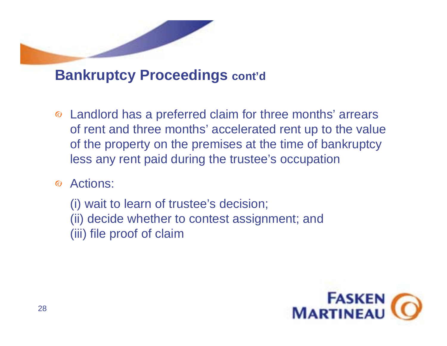

## **Bankruptcy Proceedings cont'd**

- Landlord has a preferred claim for three months' arrears of rent and three months' accelerated rent up to the value of the property on the premises at the time of bankruptcy less any rent paid during the trustee's occupation
- Actions:

(i) wait to learn of trustee's decision; (ii) decide whether to contest assignment; and (iii) file proof of claim

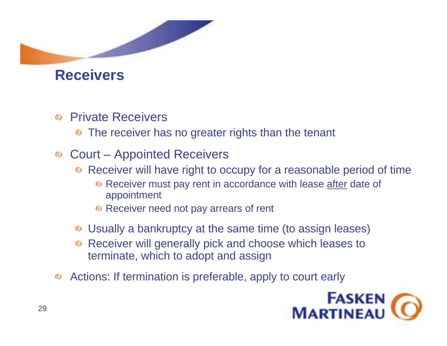

### **Receivers**

- Private Receivers $\odot$ 
	- The receiver has no greater rights than the tenant  $\bullet$
- Court Appointed Receivers
	- Receiver will have right to occupy for a reasonable period of time  $\bullet$ 
		- **Receiver must pay rent in accordance with lease after date of** appointment
		- <sup>o</sup> Receiver need not pay arrears of rent
	- Usually a bankruptcy at the same time (to assign leases)
	- Receiver will generally pick and choose which leases to terminate, which to adopt and assign
- Actions: If termination is preferable, apply to court early $\bullet$

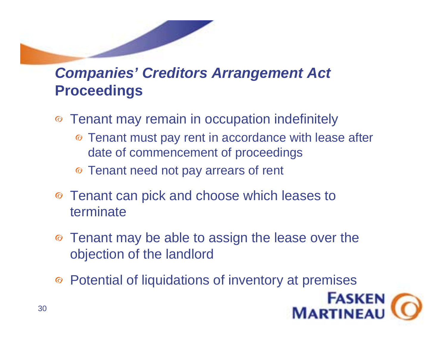# *Companies' Creditors Arrangement Act* **Proceedings**

- Tenant may remain in occupation indefinitely
	- Tenant must pay rent in accordance with lease after date of commencement of proceedings
	- Tenant need not pay arrears of rent
- Tenant can pick and choose which leases to terminate
- Tenant may be able to assign the lease over the objection of the landlord
- Potential of liquidations of inventory at premises

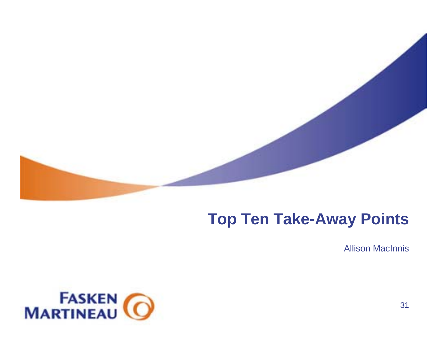

# **Top Ten Take-Away Points**

Allison MacInnis

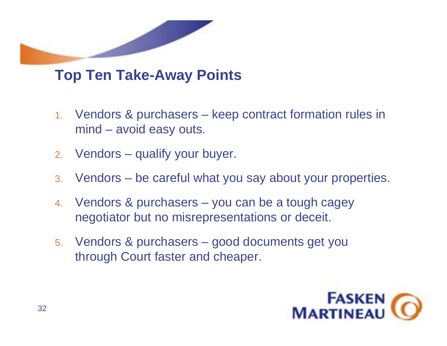

# **Top Ten Take-Away Points**

- 1. Vendors & purchasers – keep contract formation rules in mind – avoid easy outs.
- 2.Vendors – qualify your buyer.
- 3. Vendors be careful what you say about your properties.
- 4. Vendors & purchasers – you can be a tough cagey negotiator but no misrepresentations or deceit.
- 5. Vendors & purchasers good documents get you through Court faster and cheaper.

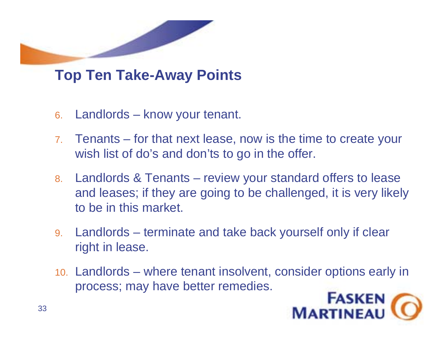

# **Top Ten Take-Away Points**

- 6. Landlords know your tenant.
- 7. Tenants – for that next lease, now is the time to create your wish list of do's and don'ts to go in the offer.
- 8. Landlords & Tenants review your standard offers to lease and leases; if they are going to be challenged, it is very likely to be in this market.
- 9. Landlords terminate and take back yourself only if clear right in lease.
- 10. Landlords where tenant insolvent, consider options early in process; may have better remedies.

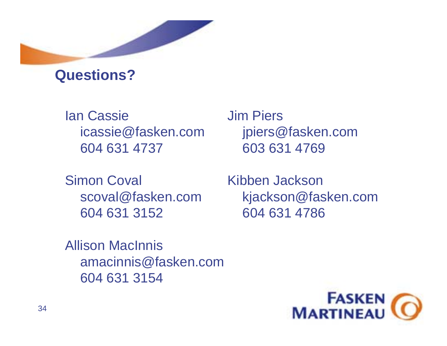

### **Questions?**

Ian Cassie Jim Piersicassie@fasken.com jpiers@fasken.com 604 631 4737 603 631 4769

Simon Coval Kibben Jackson604 631 3152 604 631 4786

scoval@fasken.com kjackson@fasken.com

Allison MacInnisamacinnis@fasken.com 604 631 3154

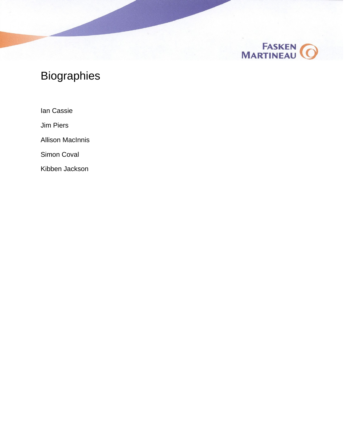

### **Biographies**

Ian Cassie

Jim Piers

Allison MacInnis

Simon Coval

Kibben Jackson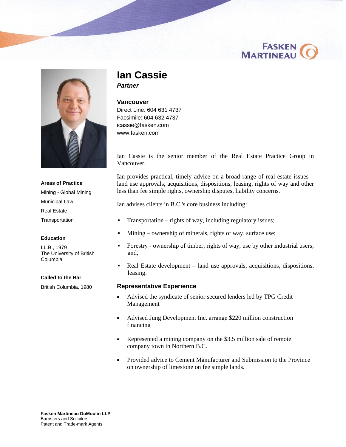



### **Ian Cassie**  *Partner*

#### **Vancouver**

Direct Line: 604 631 4737 Facsimile: 604 632 4737 [icassie@fasken.com](mailto:icassie@fasken.com)  [www.fasken.com](http://www.fasken.com) 

Ian Cassie is the senior member of the Real Estate Practice Group in Vancouver.

Ian provides practical, timely advice on a broad range of real estate issues – land use approvals, acquisitions, dispositions, leasing, rights of way and other less than fee simple rights, ownership disputes, liability concerns.

Ian advises clients in B.C.'s core business including:

- Transportation rights of way, including regulatory issues;
- Mining ownership of minerals, rights of way, surface use;
- Forestry ownership of timber, rights of way, use by other industrial users; and,
- Real Estate development land use approvals, acquisitions, dispositions, leasing.

#### **Representative Experience**

- Advised the syndicate of senior secured lenders led by TPG Credit Management
- Advised Jung Development Inc. arrange \$220 million construction financing
- Represented a mining company on the \$3.5 million sale of remote company town in Northern B.C.
- **Provided advice to Cement Manufacturer and Submission to the Province** on ownership of limestone on fee simple lands.

**Areas of Practice** Mining - Global Mining Municipal Law Real Estate **Transportation** 

#### **Education**

LL.B., 1979 The University of British Columbia

#### **Called to the Bar**

British Columbia, 1980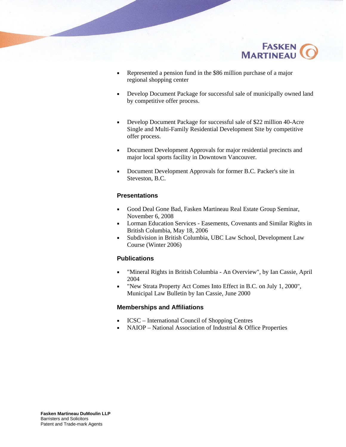

- Represented a pension fund in the \$86 million purchase of a major regional shopping center
- Develop Document Package for successful sale of municipally owned land by competitive offer process.
- Develop Document Package for successful sale of \$22 million 40-Acre Single and Multi-Family Residential Development Site by competitive offer process.
- Document Development Approvals for major residential precincts and major local sports facility in Downtown Vancouver.
- Document Development Approvals for former B.C. Packer's site in Steveston, B.C.

#### **Presentations**

- Good Deal Gone Bad, Fasken Martineau Real Estate Group Seminar, November 6, 2008
- **EXECUTE:** Lorman Education Services Easements, Covenants and Similar Rights in British Columbia, May 18, 2006
- Subdivision in British Columbia, UBC Law School, Development Law Course (Winter 2006)

#### **Publications**

- "Mineral Rights in British Columbia An Overview", by Ian Cassie, April 2004
- "New Strata Property Act Comes Into Effect in B.C. on July 1, 2000", Municipal Law Bulletin by Ian Cassie, June 2000

#### **Memberships and Affiliations**

- **ICSC** International Council of Shopping Centres
- NAIOP National Association of Industrial & Office Properties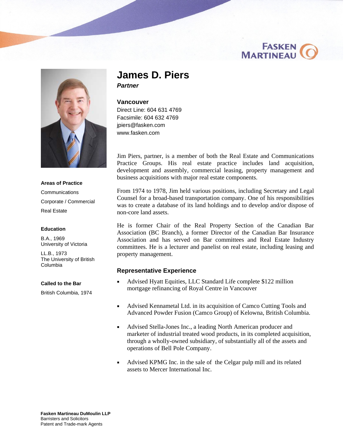



**Areas of Practice Communications** Corporate / Commercial Real Estate

#### **Education**

B.A., 1969 University of Victoria

LL.B., 1973 The University of British Columbia

#### **Called to the Bar**

British Columbia, 1974

#### **James D. Piers**  *Partner*

#### **Vancouver**

Direct Line: 604 631 4769 Facsimile: 604 632 4769 [jpiers@fasken.com](mailto:jpiers@fasken.com)  [www.fasken.com](http://www.fasken.com) 

Jim Piers, partner, is a member of both the Real Estate and Communications Practice Groups. His real estate practice includes land acquisition, development and assembly, commercial leasing, property management and business acquisitions with major real estate components.

From 1974 to 1978, Jim held various positions, including Secretary and Legal Counsel for a broad-based transportation company. One of his responsibilities was to create a database of its land holdings and to develop and/or dispose of non-core land assets.

He is former Chair of the Real Property Section of the Canadian Bar Association (BC Branch), a former Director of the Canadian Bar Insurance Association and has served on Bar committees and Real Estate Industry committees. He is a lecturer and panelist on real estate, including leasing and property management.

#### **Representative Experience**

- Advised Hyatt Equities, LLC Standard Life complete \$122 million mortgage refinancing of Royal Centre in Vancouver
- Advised Kennametal Ltd. in its acquisition of Camco Cutting Tools and Advanced Powder Fusion (Camco Group) of Kelowna, British Columbia.
- Advised Stella-Jones Inc., a leading North American producer and marketer of industrial treated wood products, in its completed acquisition, through a wholly-owned subsidiary, of substantially all of the assets and operations of Bell Pole Company.
- Advised KPMG Inc. in the sale of the Celgar pulp mill and its related assets to Mercer International Inc.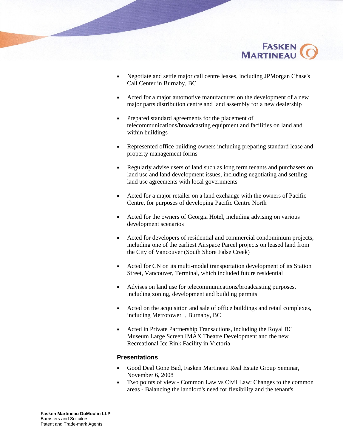

- Negotiate and settle major call centre leases, including JPMorgan Chase's Call Center in Burnaby, BC
- Acted for a major automotive manufacturer on the development of a new major parts distribution centre and land assembly for a new dealership
- **Prepared standard agreements for the placement of** telecommunications/broadcasting equipment and facilities on land and within buildings
- Represented office building owners including preparing standard lease and property management forms
- Regularly advise users of land such as long term tenants and purchasers on land use and land development issues, including negotiating and settling land use agreements with local governments
- Acted for a major retailer on a land exchange with the owners of Pacific Centre, for purposes of developing Pacific Centre North
- Acted for the owners of Georgia Hotel, including advising on various development scenarios
- Acted for developers of residential and commercial condominium projects, including one of the earliest Airspace Parcel projects on leased land from the City of Vancouver (South Shore False Creek)
- Acted for CN on its multi-modal transportation development of its Station Street, Vancouver, Terminal, which included future residential
- Advises on land use for telecommunications/broadcasting purposes, including zoning, development and building permits
- Acted on the acquisition and sale of office buildings and retail complexes, including Metrotower I, Burnaby, BC
- Acted in Private Partnership Transactions, including the Royal BC Museum Large Screen IMAX Theatre Development and the new Recreational Ice Rink Facility in Victoria

#### **Presentations**

- Good Deal Gone Bad, Fasken Martineau Real Estate Group Seminar, November 6, 2008
- Two points of view Common Law vs Civil Law: Changes to the common areas - Balancing the landlord's need for flexibility and the tenant's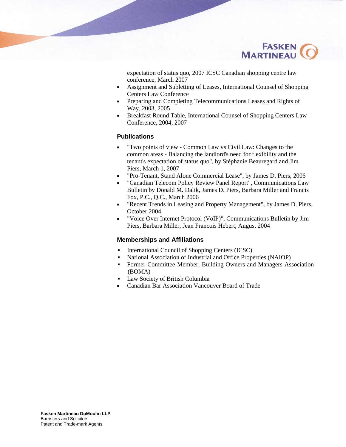

expectation of status quo, 2007 ICSC Canadian shopping centre law conference, March 2007

- Assignment and Subletting of Leases, International Counsel of Shopping Centers Law Conference
- **Preparing and Completing Telecommunications Leases and Rights of** Way, 2003, 2005
- Breakfast Round Table, International Counsel of Shopping Centers Law Conference, 2004, 2007

#### **Publications**

- "Two points of view Common Law vs Civil Law: Changes to the common areas - Balancing the landlord's need for flexibility and the tenant's expectation of status quo", by Stéphanie Beauregard and Jim Piers, March 1, 2007
- "Pro-Tenant, Stand Alone Commercial Lease", by James D. Piers, 2006
- "Canadian Telecom Policy Review Panel Report", Communications Law Bulletin by Donald M. Dalik, James D. Piers, Barbara Miller and Francis Fox, P.C., Q.C., March 2006
- "Recent Trends in Leasing and Property Management", by James D. Piers, October 2004
- "Voice Over Internet Protocol (VoIP)", Communications Bulletin by Jim Piers, Barbara Miller, Jean Francois Hebert, August 2004

#### **Memberships and Affiliations**

- International Council of Shopping Centers (ICSC)
- National Association of Industrial and Office Properties (NAIOP)
- Former Committee Member, Building Owners and Managers Association (BOMA)
- Law Society of British Columbia
- Canadian Bar Association Vancouver Board of Trade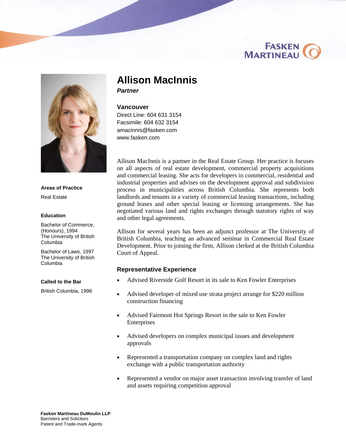### **FASKEN MARTINEAU**



**Areas of Practice** Real Estate

#### **Education**

Bachelor of Commerce, (Honours), 1994 The University of British Columbia

Bachelor of Laws, 1997 The University of British Columbia

#### **Called to the Bar**

British Columbia, 1998

### **Allison MacInnis**

*Partner* 

#### **Vancouver**

Direct Line: 604 631 3154 Facsimile: 604 632 3154 [amacinnis@fasken.com](mailto:amacinnis@fasken.com)  [www.fasken.com](http://www.fasken.com) 

Allison MacInnis is a partner in the Real Estate Group. Her practice is focuses on all aspects of real estate development, commercial property acquisitions and commercial leasing. She acts for developers in commercial, residential and industrial properties and advises on the development approval and subdivision process in municipalities across British Columbia. She represents both landlords and tenants in a variety of commercial leasing transactions, including ground leases and other special leasing or licensing arrangements. She has negotiated various land and rights exchanges through statutory rights of way and other legal agreements.

Allison for several years has been an adjunct professor at The University of British Columbia, teaching an advanced seminar in Commercial Real Estate Development. Prior to joining the firm, Allison clerked at the British Columbia Court of Appeal.

#### **Representative Experience**

- Advised Riverside Golf Resort in its sale to Ken Fowler Enterprises
- Advised developer of mixed use strata project arrange for \$220 million construction financing
- Advised Fairmont Hot Springs Resort in the sale to Ken Fowler Enterprises
- Advised developers on complex municipal issues and development approvals
- Represented a transportation company on complex land and rights exchange with a public transportation authority
- Represented a vendor on major asset transaction involving transfer of land and assets requiring competition approval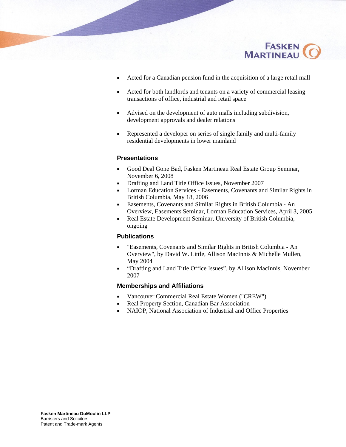

- Acted for a Canadian pension fund in the acquisition of a large retail mall
- Acted for both landlords and tenants on a variety of commercial leasing transactions of office, industrial and retail space
- Advised on the development of auto malls including subdivision, development approvals and dealer relations
- Represented a developer on series of single family and multi-family residential developments in lower mainland

#### **Presentations**

- Good Deal Gone Bad, Fasken Martineau Real Estate Group Seminar, November 6, 2008
- Drafting and Land Title Office Issues, November 2007
- **EXECUTE:** Lorman Education Services Easements, Covenants and Similar Rights in British Columbia, May 18, 2006
- Easements, Covenants and Similar Rights in British Columbia An Overview, Easements Seminar, Lorman Education Services, April 3, 2005
- Real Estate Development Seminar, University of British Columbia, ongoing

#### **Publications**

- "Easements, Covenants and Similar Rights in British Columbia An Overview", by David W. Little, Allison MacInnis & Michelle Mullen, May 2004
- "Drafting and Land Title Office Issues", by Allison MacInnis, November 2007

#### **Memberships and Affiliations**

- Vancouver Commercial Real Estate Women ("CREW")
- Real Property Section, Canadian Bar Association
- NAIOP, National Association of Industrial and Office Properties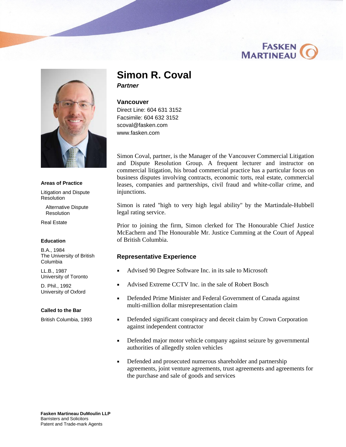



**Areas of Practice**

Litigation and Dispute Resolution

Alternative Dispute **Resolution** 

Real Estate

#### **Education**

B.A., 1984 The University of British Columbia

LL.B., 1987 University of Toronto

D. Phil., 1992 University of Oxford

#### **Called to the Bar**

British Columbia, 1993

### **Simon R. Coval**

*Partner* 

#### **Vancouver**

Direct Line: 604 631 3152 Facsimile: 604 632 3152 [scoval@fasken.com](mailto:scoval@fasken.com)  [www.fasken.com](http://www.fasken.com) 

Simon Coval, partner, is the Manager of the Vancouver Commercial Litigation and Dispute Resolution Group. A frequent lecturer and instructor on commercial litigation, his broad commercial practice has a particular focus on business disputes involving contracts, economic torts, real estate, commercial leases, companies and partnerships, civil fraud and white-collar crime, and injunctions.

Simon is rated ''high to very high legal ability'' by the Martindale-Hubbell legal rating service.

Prior to joining the firm, Simon clerked for The Honourable Chief Justice McEachern and The Honourable Mr. Justice Cumming at the Court of Appeal of British Columbia.

#### **Representative Experience**

- Advised 90 Degree Software Inc. in its sale to Microsoft
- Advised Extreme CCTV Inc. in the sale of Robert Bosch
- Defended Prime Minister and Federal Government of Canada against multi-million dollar misrepresentation claim
- Defended significant conspiracy and deceit claim by Crown Corporation against independent contractor
- Defended major motor vehicle company against seizure by governmental authorities of allegedly stolen vehicles
- Defended and prosecuted numerous shareholder and partnership agreements, joint venture agreements, trust agreements and agreements for the purchase and sale of goods and services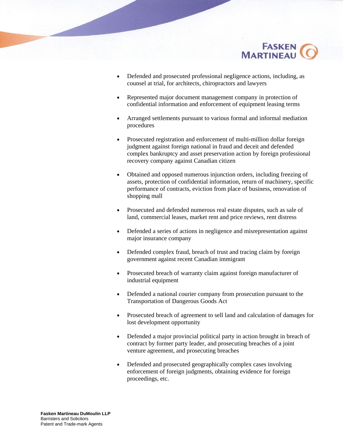

- Defended and prosecuted professional negligence actions, including, as counsel at trial, for architects, chiropractors and lawyers
- Represented major document management company in protection of confidential information and enforcement of equipment leasing terms
- Arranged settlements pursuant to various formal and informal mediation procedures
- Prosecuted registration and enforcement of multi-million dollar foreign judgment against foreign national in fraud and deceit and defended complex bankruptcy and asset preservation action by foreign professional recovery company against Canadian citizen
- Obtained and opposed numerous injunction orders, including freezing of assets, protection of confidential information, return of machinery, specific performance of contracts, eviction from place of business, renovation of shopping mall
- **Prosecuted and defended numerous real estate disputes, such as sale of** land, commercial leases, market rent and price reviews, rent distress
- Defended a series of actions in negligence and misrepresentation against major insurance company
- Defended complex fraud, breach of trust and tracing claim by foreign government against recent Canadian immigrant
- **Prosecuted breach of warranty claim against foreign manufacturer of** industrial equipment
- Defended a national courier company from prosecution pursuant to the Transportation of Dangerous Goods Act
- Prosecuted breach of agreement to sell land and calculation of damages for lost development opportunity
- Defended a major provincial political party in action brought in breach of contract by former party leader, and prosecuting breaches of a joint venture agreement, and prosecuting breaches
- Defended and prosecuted geographically complex cases involving enforcement of foreign judgments, obtaining evidence for foreign proceedings, etc.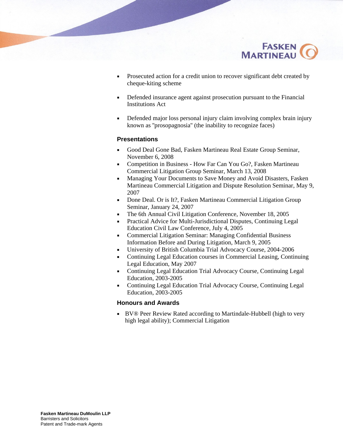

- **Prosecuted action for a credit union to recover significant debt created by** cheque-kiting scheme
- Defended insurance agent against prosecution pursuant to the Financial Institutions Act
- Defended major loss personal injury claim involving complex brain injury known as ''prosopagnosia'' (the inability to recognize faces)

#### **Presentations**

- Good Deal Gone Bad, Fasken Martineau Real Estate Group Seminar, November 6, 2008
- Competition in Business How Far Can You Go?, Fasken Martineau Commercial Litigation Group Seminar, March 13, 2008
- Managing Your Documents to Save Money and Avoid Disasters, Fasken Martineau Commercial Litigation and Dispute Resolution Seminar, May 9, 2007
- Done Deal. Or is It?, Fasken Martineau Commercial Litigation Group Seminar, January 24, 2007
- The 6th Annual Civil Litigation Conference, November 18, 2005
- Practical Advice for Multi-Jurisdictional Disputes, Continuing Legal Education Civil Law Conference, July 4, 2005
- Commercial Litigation Seminar: Managing Confidential Business Information Before and During Litigation, March 9, 2005
- University of British Columbia Trial Advocacy Course, 2004-2006
- Continuing Legal Education courses in Commercial Leasing, Continuing Legal Education, May 2007
- Continuing Legal Education Trial Advocacy Course, Continuing Legal Education, 2003-2005
- Continuing Legal Education Trial Advocacy Course, Continuing Legal Education, 2003-2005

#### **Honours and Awards**

 BV® Peer Review Rated according to Martindale-Hubbell (high to very high legal ability); Commercial Litigation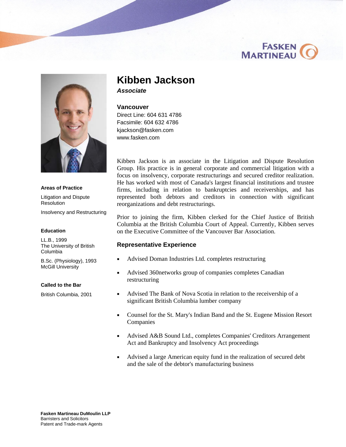



#### **Areas of Practice**

Litigation and Dispute **Resolution** 

Insolvency and Restructuring

#### **Education**

LL.B., 1999 The University of British Columbia

B.Sc. (Physiology), 1993 McGill University

#### **Called to the Bar**

British Columbia, 2001

### **Kibben Jackson**

*Associate* 

#### **Vancouver**

Direct Line: 604 631 4786 Facsimile: 604 632 4786 [kjackson@fasken.com](mailto:kjackson@fasken.com)  [www.fasken.com](http://www.fasken.com) 

Kibben Jackson is an associate in the Litigation and Dispute Resolution Group. His practice is in general corporate and commercial litigation with a focus on insolvency, corporate restructurings and secured creditor realization. He has worked with most of Canada's largest financial institutions and trustee firms, including in relation to bankruptcies and receiverships, and has represented both debtors and creditors in connection with significant reorganizations and debt restructurings.

Prior to joining the firm, Kibben clerked for the Chief Justice of British Columbia at the British Columbia Court of Appeal. Currently, Kibben serves on the Executive Committee of the Vancouver Bar Association.

#### **Representative Experience**

- Advised Doman Industries Ltd. completes restructuring
- Advised 360networks group of companies completes Canadian restructuring
- Advised The Bank of Nova Scotia in relation to the receivership of a significant British Columbia lumber company
- Counsel for the St. Mary's Indian Band and the St. Eugene Mission Resort Companies
- Advised A&B Sound Ltd., completes Companies' Creditors Arrangement Act and Bankruptcy and Insolvency Act proceedings
- Advised a large American equity fund in the realization of secured debt and the sale of the debtor's manufacturing business